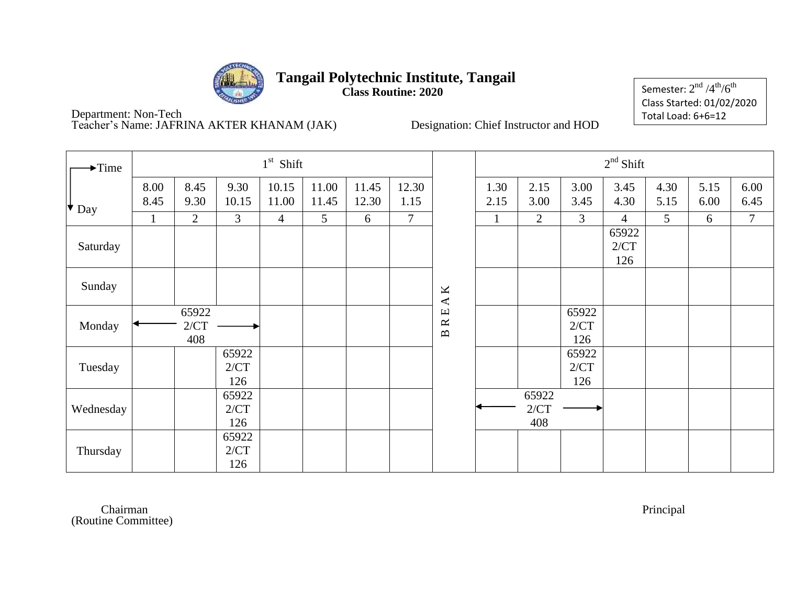

**Class Routine: 2020**

Semester:  $2^{\rm nd}$  /4 $^{\rm th}$ /6 $^{\rm th}$ Class Started: 01/02/2020 Total Load: 6+6=12

Department: Non-Tech Teacher's Name: JAFRINA AKTER KHANAM (JAK) Designation: Chief Instructor and HOD

| $\rightarrow$ Time |              |                      |                      | $1st$ Shift    |                |                |               |                                                                                                                    |              |                      |                      | $2nd$ Shift          |              |              |              |
|--------------------|--------------|----------------------|----------------------|----------------|----------------|----------------|---------------|--------------------------------------------------------------------------------------------------------------------|--------------|----------------------|----------------------|----------------------|--------------|--------------|--------------|
| $\star$ Day        | 8.00<br>8.45 | 8.45<br>9.30         | 9.30<br>10.15        | 10.15<br>11.00 | 11.00<br>11.45 | 11.45<br>12.30 | 12.30<br>1.15 |                                                                                                                    | 1.30<br>2.15 | 2.15<br>3.00         | 3.00<br>3.45         | 3.45<br>4.30         | 4.30<br>5.15 | 5.15<br>6.00 | 6.00<br>6.45 |
|                    | 1            | 2                    | 3                    | $\overline{4}$ | 5              | 6              | $\tau$        |                                                                                                                    |              | $\overline{2}$       | $\mathfrak{Z}$       | $\overline{4}$       | 5            | 6            | $\tau$       |
| Saturday           |              |                      |                      |                |                |                |               |                                                                                                                    |              |                      |                      | 65922<br>2/CT<br>126 |              |              |              |
| Sunday             |              |                      |                      |                |                |                |               | K<br>$\blacktriangleleft$                                                                                          |              |                      |                      |                      |              |              |              |
| Monday             |              | 65922<br>2/CT<br>408 |                      |                |                |                |               | $\ensuremath{\mathop{\boxplus}}$<br>$\boldsymbol{\underline{\alpha}}$<br>$\mathbf{\underline{\underline{\alpha}}}$ |              |                      | 65922<br>2/CT<br>126 |                      |              |              |              |
| Tuesday            |              |                      | 65922<br>2/CT<br>126 |                |                |                |               |                                                                                                                    |              |                      | 65922<br>2/CT<br>126 |                      |              |              |              |
| Wednesday          |              |                      | 65922<br>2/CT<br>126 |                |                |                |               |                                                                                                                    |              | 65922<br>2/CT<br>408 |                      |                      |              |              |              |
| Thursday           |              |                      | 65922<br>2/CT<br>126 |                |                |                |               |                                                                                                                    |              |                      |                      |                      |              |              |              |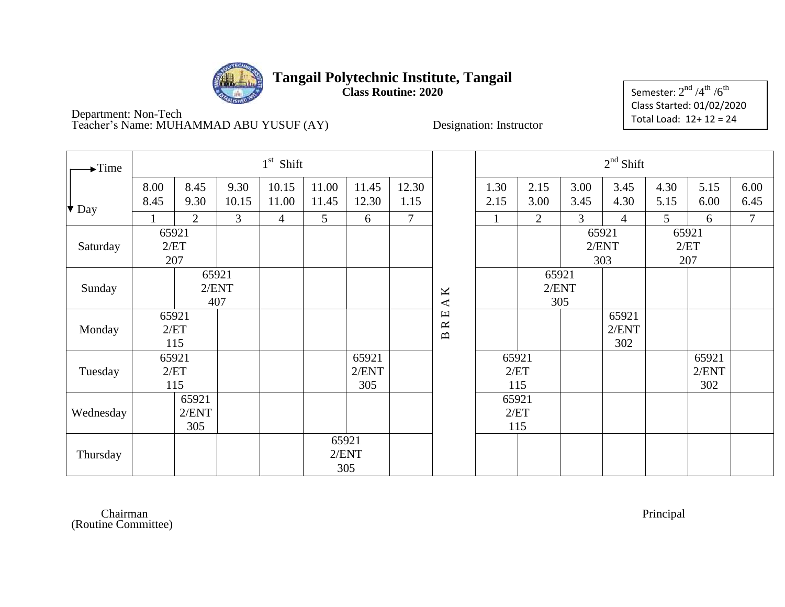

**Class Routine: 2020**

Semester:  $2^{\rm nd}$  /4 $^{\rm th}$  /6 $^{\rm th}$ Class Started: 01/02/2020 Total Load: 12+ 12 = 24

Department: Non-Tech Teacher's Name: MUHAMMAD ABU YUSUF (AY) Designation: Instructor

| $\blacktriangleright$ Time |              |                       |                       | $1st$ Shift    |                       |                       |                |                          |                      |                |              | $2nd$ Shift           |              |                       |                |
|----------------------------|--------------|-----------------------|-----------------------|----------------|-----------------------|-----------------------|----------------|--------------------------|----------------------|----------------|--------------|-----------------------|--------------|-----------------------|----------------|
| $\big\vert \bullet$ Day    | 8.00<br>8.45 | 8.45<br>9.30          | 9.30<br>10.15         | 10.15<br>11.00 | 11.00<br>11.45        | 11.45<br>12.30        | 12.30<br>1.15  |                          | 1.30<br>2.15         | 2.15<br>3.00   | 3.00<br>3.45 | 3.45<br>4.30          | 4.30<br>5.15 | 5.15<br>6.00          | 6.00<br>6.45   |
|                            |              | $\overline{2}$        | 3                     | $\overline{4}$ | 5                     | 6                     | $\overline{7}$ |                          |                      | $\overline{2}$ | 3            | $\overline{4}$        | 5            | 6                     | $\overline{7}$ |
| Saturday                   | 65921<br>207 | 2/ET                  |                       |                |                       |                       |                |                          |                      |                | 65921        | 2/ENT<br>303          | 65921        | 2/ET<br>207           |                |
| Sunday                     |              |                       | 65921<br>2/ENT<br>407 |                |                       |                       |                | $\mathbf{A}\,\mathbf{K}$ |                      | 65921          | 2/ENT<br>305 |                       |              |                       |                |
| Monday                     |              | 65921<br>2/ET<br>115  |                       |                |                       |                       |                | <b>BRE</b>               |                      |                |              | 65921<br>2/ENT<br>302 |              |                       |                |
| Tuesday                    |              | 65921<br>2/ET<br>115  |                       |                |                       | 65921<br>2/ENT<br>305 |                |                          | 65921<br>2/ET<br>115 |                |              |                       |              | 65921<br>2/ENT<br>302 |                |
| Wednesday                  |              | 65921<br>2/ENT<br>305 |                       |                |                       |                       |                |                          | 65921<br>2/ET<br>115 |                |              |                       |              |                       |                |
| Thursday                   |              |                       |                       |                | 65921<br>2/ENT<br>305 |                       |                |                          |                      |                |              |                       |              |                       |                |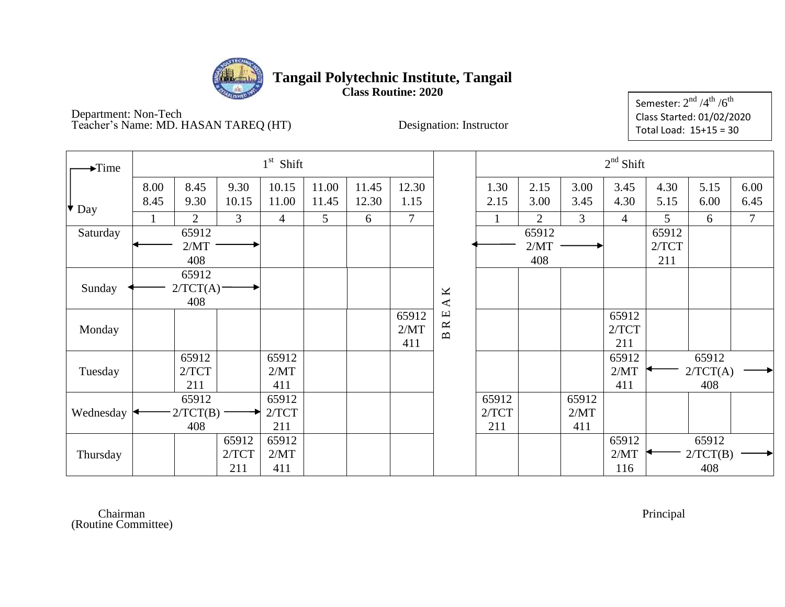

**Class Routine: 2020**

Department: Non-Tech Teacher's Name: MD. HASAN TAREQ (HT) Designation: Instructor

| $\blacktriangleright$ Time |              |                 |               | $1st$ Shift    |                |                |                |               |              |                |              | $2nd$ Shift    |              |              |                |
|----------------------------|--------------|-----------------|---------------|----------------|----------------|----------------|----------------|---------------|--------------|----------------|--------------|----------------|--------------|--------------|----------------|
| $\big\vert \big\vert$ Day  | 8.00<br>8.45 | 8.45<br>9.30    | 9.30<br>10.15 | 10.15<br>11.00 | 11.00<br>11.45 | 11.45<br>12.30 | 12.30<br>1.15  |               | 1.30<br>2.15 | 2.15<br>3.00   | 3.00<br>3.45 | 3.45<br>4.30   | 4.30<br>5.15 | 5.15<br>6.00 | 6.00<br>6.45   |
|                            |              | $\overline{2}$  | 3             | $\overline{4}$ | 5              | 6              | $\overline{7}$ |               |              | $\overline{2}$ | 3            | $\overline{4}$ | 5            | 6            | $\overline{7}$ |
| Saturday                   |              | 65912           |               |                |                |                |                |               |              | 65912          |              |                | 65912        |              |                |
|                            |              | 2/MT            |               |                |                |                |                |               |              | 2/MT           |              |                | 2/TCT        |              |                |
|                            |              | 408             |               |                |                |                |                |               |              | 408            |              |                | 211          |              |                |
|                            |              | 65912           |               |                |                |                |                |               |              |                |              |                |              |              |                |
| Sunday                     |              | 2/TCT(A)<br>408 |               |                |                |                |                | $\mathbf A$ K |              |                |              |                |              |              |                |
|                            |              |                 |               |                |                |                | 65912          |               |              |                |              | 65912          |              |              |                |
| Monday                     |              |                 |               |                |                |                | 2/MT           | BRE.          |              |                |              | 2/TCT          |              |              |                |
|                            |              |                 |               |                |                |                | 411            |               |              |                |              | 211            |              |              |                |
|                            |              | 65912           |               | 65912          |                |                |                |               |              |                |              | 65912          |              | 65912        |                |
| Tuesday                    |              | 2/TCT           |               | 2/MT           |                |                |                |               |              |                |              | 2/MT           |              | 2/TCT(A)     |                |
|                            |              | 211             |               | 411            |                |                |                |               |              |                |              | 411            |              | 408          |                |
|                            |              | 65912           |               | 65912          |                |                |                |               | 65912        |                | 65912        |                |              |              |                |
| Wednesday                  |              | 2/TCT(B)        |               | 2/TCT          |                |                |                |               | 2/TCT        |                | 2/MT         |                |              |              |                |
|                            |              | 408             |               | 211            |                |                |                |               | 211          |                | 411          |                |              |              |                |
|                            |              |                 | 65912         | 65912          |                |                |                |               |              |                |              | 65912          |              | 65912        |                |
| Thursday                   |              |                 | 2/TCT         | 2/MT           |                |                |                |               |              |                |              | 2/MT           |              | 2/TCT(B)     |                |
|                            |              |                 | 211           | 411            |                |                |                |               |              |                |              | 116            |              | 408          |                |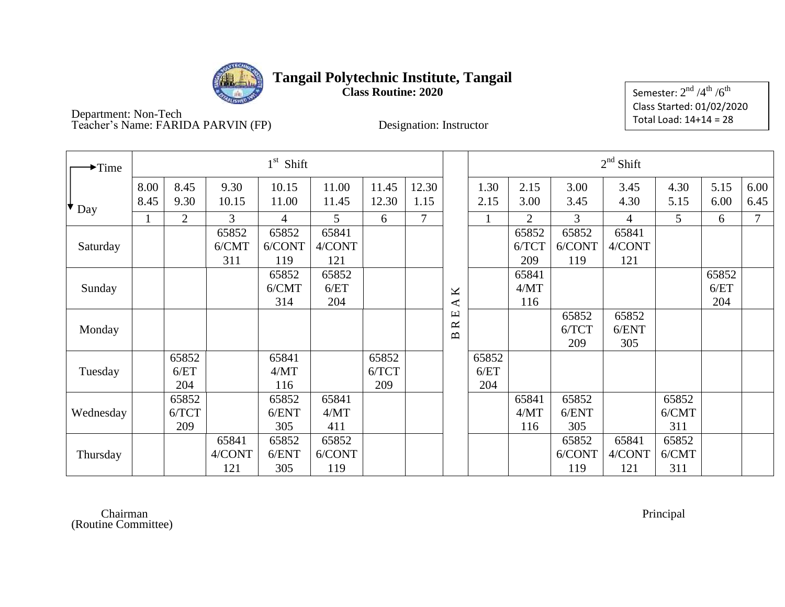

**Class Routine: 2020**

Semester:  $2^{\rm nd}$  /4 $^{\rm th}$  /6 $^{\rm th}$ Class Started: 01/02/2020 Total Load: 14+14 = 28

Department: Non-Tech Teacher's Name: FARIDA PARVIN (FP) Designation: Instructor

| $\blacktriangleright$ Time |              |                       |                        | $1st$ Shift            |                        |                       |               |                                        |                      |                       |                        | $2nd$ Shift            |                       |                      |              |
|----------------------------|--------------|-----------------------|------------------------|------------------------|------------------------|-----------------------|---------------|----------------------------------------|----------------------|-----------------------|------------------------|------------------------|-----------------------|----------------------|--------------|
| $\bullet$ Day              | 8.00<br>8.45 | 8.45<br>9.30          | 9.30<br>10.15          | 10.15<br>11.00         | 11.00<br>11.45         | 11.45<br>12.30        | 12.30<br>1.15 |                                        | 1.30<br>2.15         | 2.15<br>3.00          | 3.00<br>3.45           | 3.45<br>4.30           | 4.30<br>5.15          | 5.15<br>6.00         | 6.00<br>6.45 |
|                            | $\mathbf{1}$ | $\overline{2}$        | 3                      | $\overline{4}$         | 5                      | 6                     | 7             |                                        | $\mathbf{1}$         | 2                     | $\overline{3}$         | $\overline{4}$         | 5                     | 6                    | $\tau$       |
| Saturday                   |              |                       | 65852<br>6/CMT<br>311  | 65852<br>6/CONT<br>119 | 65841<br>4/CONT<br>121 |                       |               |                                        |                      | 65852<br>6/TCT<br>209 | 65852<br>6/CONT<br>119 | 65841<br>4/CONT<br>121 |                       |                      |              |
| Sunday                     |              |                       |                        | 65852<br>6/CMT<br>314  | 65852<br>6/ET<br>204   |                       |               | $\pmb{\times}$<br>$\blacktriangleleft$ |                      | 65841<br>4/MT<br>116  |                        |                        |                       | 65852<br>6/ET<br>204 |              |
| Monday                     |              |                       |                        |                        |                        |                       |               | Щ<br>$\approx$<br>$\mathbf{m}$         |                      |                       | 65852<br>6/TCT<br>209  | 65852<br>6/ENT<br>305  |                       |                      |              |
| Tuesday                    |              | 65852<br>6/ET<br>204  |                        | 65841<br>4/MT<br>116   |                        | 65852<br>6/TCT<br>209 |               |                                        | 65852<br>6/ET<br>204 |                       |                        |                        |                       |                      |              |
| Wednesday                  |              | 65852<br>6/TCT<br>209 |                        | 65852<br>6/ENT<br>305  | 65841<br>4/MT<br>411   |                       |               |                                        |                      | 65841<br>4/MT<br>116  | 65852<br>6/ENT<br>305  |                        | 65852<br>6/CMT<br>311 |                      |              |
| Thursday                   |              |                       | 65841<br>4/CONT<br>121 | 65852<br>6/ENT<br>305  | 65852<br>6/CONT<br>119 |                       |               |                                        |                      |                       | 65852<br>6/CONT<br>119 | 65841<br>4/CONT<br>121 | 65852<br>6/CMT<br>311 |                      |              |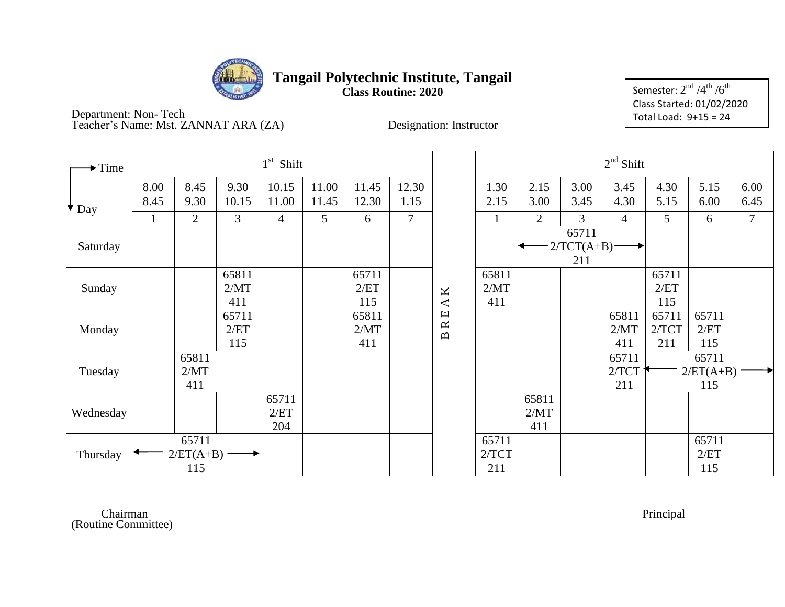

**Class Routine: 2020**

Semester:  $2^{\rm nd}$  /4 $^{\rm th}$  /6 $^{\rm th}$ Class Started: 01/02/2020 Total Load: 9+15 = 24

Department: Non- Tech Teacher's Name: Mst. ZANNAT ARA (ZA) Designation: Instructor

| $\rightarrow$ Time |                      |                             |                      | $1st$ Shift          |                |                      |                |                                        |                       |                      |                              | $2nd$ Shift           |                       |                             |                |
|--------------------|----------------------|-----------------------------|----------------------|----------------------|----------------|----------------------|----------------|----------------------------------------|-----------------------|----------------------|------------------------------|-----------------------|-----------------------|-----------------------------|----------------|
| Day                | 8.00<br>8.45         | 8.45<br>9.30                | 9.30<br>10.15        | 10.15<br>11.00       | 11.00<br>11.45 | 11.45<br>12.30       | 12.30<br>1.15  |                                        | 1.30<br>2.15          | 2.15<br>3.00         | 3.00<br>3.45                 | 3.45<br>4.30          | 4.30<br>5.15          | 5.15<br>6.00                | 6.00<br>6.45   |
|                    | $\mathbf{1}$         | $\overline{2}$              | 3                    | $\overline{4}$       | 5              | 6                    | $\overline{7}$ |                                        | $\mathbf{1}$          | $\overline{2}$       | $\overline{3}$               | $\overline{4}$        | 5                     | 6                           | $\overline{7}$ |
| Saturday           |                      |                             |                      |                      |                |                      |                |                                        |                       |                      | 65711<br>$2/TCT(A+B)$<br>211 |                       |                       |                             |                |
| Sunday             |                      |                             | 65811<br>2/MT<br>411 |                      |                | 65711<br>2/ET<br>115 |                | $\pmb{\times}$<br>$\blacktriangleleft$ | 65811<br>2/MT<br>411  |                      |                              |                       | 65711<br>2/ET<br>115  |                             |                |
| Monday             |                      |                             | 65711<br>2/ET<br>115 |                      |                | 65811<br>2/MT<br>411 |                | <b>BRE</b>                             |                       |                      |                              | 65811<br>2/MT<br>411  | 65711<br>2/TCT<br>211 | 65711<br>2/ET<br>115        |                |
| Tuesday            | 65811<br>2/MT<br>411 |                             |                      |                      |                |                      |                |                                        |                       |                      |                              | 65711<br>2/TCT<br>211 |                       | 65711<br>$2/ET(A+B)$<br>115 |                |
| Wednesday          |                      |                             |                      | 65711<br>2/ET<br>204 |                |                      |                |                                        |                       | 65811<br>2/MT<br>411 |                              |                       |                       |                             |                |
| Thursday           |                      | 65711<br>$2/ET(A+B)$<br>115 |                      |                      |                |                      |                |                                        | 65711<br>2/TCT<br>211 |                      |                              |                       |                       | 65711<br>2/ET<br>115        |                |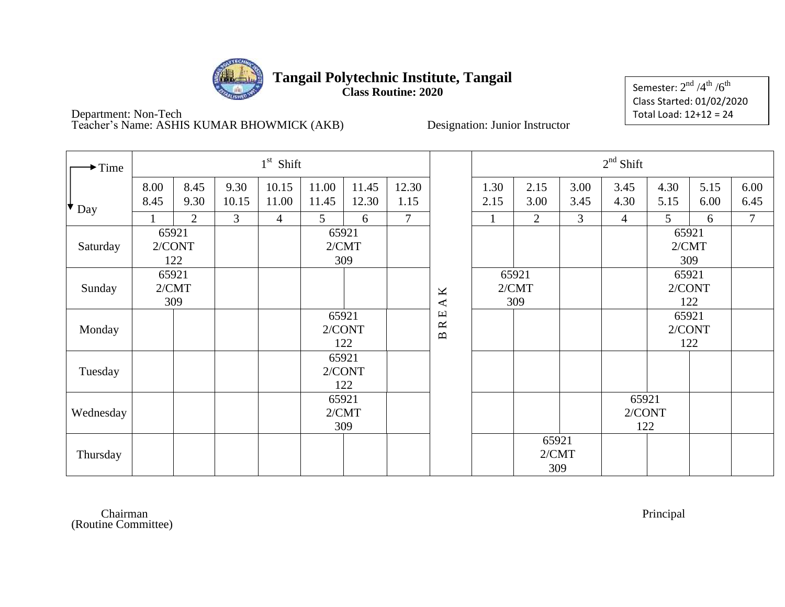

**Class Routine: 2020**

Semester:  $2^{\rm nd}$  /4 $^{\rm th}$  /6 $^{\rm th}$ Class Started: 01/02/2020 Total Load: 12+12 = 24

Department: Non-Tech Teacher's Name: ASHIS KUMAR BHOWMICK (AKB) Designation: Junior Instructor

| $\rightarrow$ Time |              |                |               | $1st$ Shift     |                       |                |                               |                           |              |                       |              | $2nd$ Shift            |                |               |                |
|--------------------|--------------|----------------|---------------|-----------------|-----------------------|----------------|-------------------------------|---------------------------|--------------|-----------------------|--------------|------------------------|----------------|---------------|----------------|
| $\bullet$ Day      | 8.00<br>8.45 | 8.45<br>9.30   | 9.30<br>10.15 | 10.15<br>11.00  | 11.00<br>11.45        | 11.45<br>12.30 | 12.30<br>1.15                 |                           | 1.30<br>2.15 | 2.15<br>3.00          | 3.00<br>3.45 | 3.45<br>4.30           | 4.30<br>5.15   | 5.15<br>6.00  | 6.00<br>6.45   |
|                    | $\mathbf{1}$ | $\overline{2}$ | 3             | $\overline{4}$  | 5 <sup>1</sup>        | 6              | $\overline{7}$                |                           |              | 2                     | 3            | $\overline{4}$         | 5              | 6             | $\overline{7}$ |
| Saturday           | 65921        | 2/CONT<br>122  |               |                 | 65921<br>2/CMT        | 309            |                               |                           |              |                       |              |                        | 65921<br>2/CMT | 309           |                |
| Sunday             | 65921        | 2/CMT          |               |                 |                       |                |                               | K<br>$\blacktriangleleft$ |              | 65921<br>2/CMT<br>309 |              |                        | 65921          | 2/CONT<br>122 |                |
| Monday             |              | 309            |               | 65921<br>2/CONT | 122                   |                | $\mathbb R$ E<br>$\mathbf{m}$ |                           |              |                       |              | 65921<br>2/CONT        | 122            |               |                |
| Tuesday            |              |                |               |                 | 65921<br>2/CONT       | 122            |                               |                           |              |                       |              |                        |                |               |                |
| Wednesday          |              |                |               |                 | 65921<br>2/CMT<br>309 |                |                               |                           |              |                       |              | 65921<br>2/CONT<br>122 |                |               |                |
| Thursday           |              |                |               |                 |                       |                |                               |                           |              | 65921<br>2/CMT<br>309 |              |                        |                |               |                |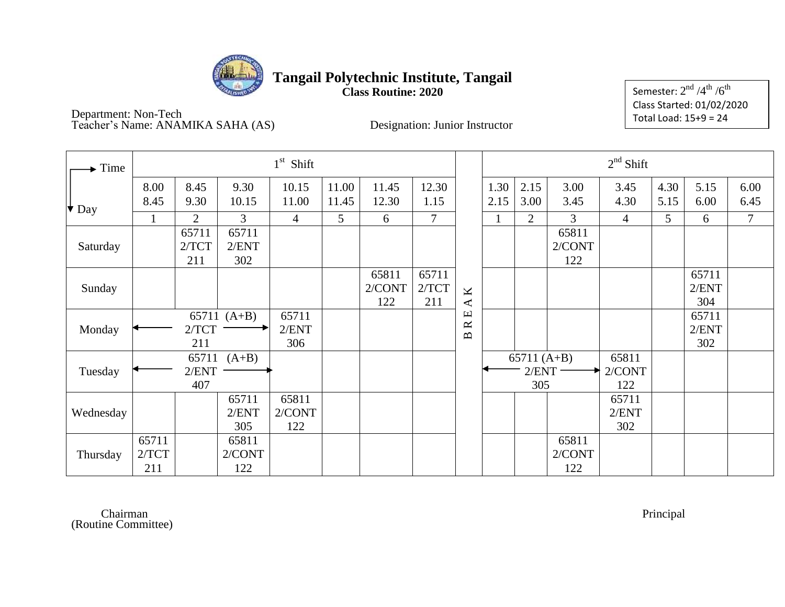

**Class Routine: 2020**

Semester:  $2^{\rm nd}$  /4 $^{\rm th}$  /6 $^{\rm th}$ Class Started: 01/02/2020 Total Load: 15+9 = 24

Department: Non-Tech Teacher's Name: ANAMIKA SAHA (AS) Designation: Junior Instructor

| Time                      |                       |                       |                        | $1st$ Shift            |                |                        |                       |                                                                         |              |                               |                        | $2nd$ Shift            |              |                       |                |
|---------------------------|-----------------------|-----------------------|------------------------|------------------------|----------------|------------------------|-----------------------|-------------------------------------------------------------------------|--------------|-------------------------------|------------------------|------------------------|--------------|-----------------------|----------------|
| $\big\vert \big\vert$ Day | 8.00<br>8.45          | 8.45<br>9.30          | 9.30<br>10.15          | 10.15<br>11.00         | 11.00<br>11.45 | 11.45<br>12.30         | 12.30<br>1.15         |                                                                         | 1.30<br>2.15 | 2.15<br>3.00                  | 3.00<br>3.45           | 3.45<br>4.30           | 4.30<br>5.15 | 5.15<br>6.00          | 6.00<br>6.45   |
|                           |                       | $\overline{2}$        | 3                      | $\overline{4}$         | 5              | 6                      | $7\phantom{.0}$       |                                                                         |              | $\overline{2}$                | 3                      | $\overline{4}$         | 5            | 6                     | $\overline{7}$ |
| Saturday                  |                       | 65711<br>2/TCT<br>211 | 65711<br>2/ENT<br>302  |                        |                |                        |                       |                                                                         |              |                               | 65811<br>2/CONT<br>122 |                        |              |                       |                |
| Sunday                    |                       |                       |                        |                        |                | 65811<br>2/CONT<br>122 | 65711<br>2/TCT<br>211 | K<br>$\blacktriangleleft$                                               |              |                               |                        |                        |              | 65711<br>2/ENT<br>304 |                |
| Monday                    |                       | 2/TCT<br>211          | 65711 $(A+B)$          | 65711<br>2/ENT<br>306  |                |                        |                       | $\mathbf \Xi$<br>$\approx$<br>$\mathbf{\underline{\underline{\alpha}}}$ |              |                               |                        |                        |              | 65711<br>2/ENT<br>302 |                |
| Tuesday                   |                       | 65711<br>2/ENT<br>407 | $(A+B)$                |                        |                |                        |                       |                                                                         |              | 65711 $(A+B)$<br>2/ENT<br>305 |                        | 65811<br>2/CONT<br>122 |              |                       |                |
| Wednesday                 |                       |                       | 65711<br>2/ENT<br>305  | 65811<br>2/CONT<br>122 |                |                        |                       |                                                                         |              |                               |                        | 65711<br>2/ENT<br>302  |              |                       |                |
| Thursday                  | 65711<br>2/TCT<br>211 |                       | 65811<br>2/CONT<br>122 |                        |                |                        |                       |                                                                         |              |                               | 65811<br>2/CONT<br>122 |                        |              |                       |                |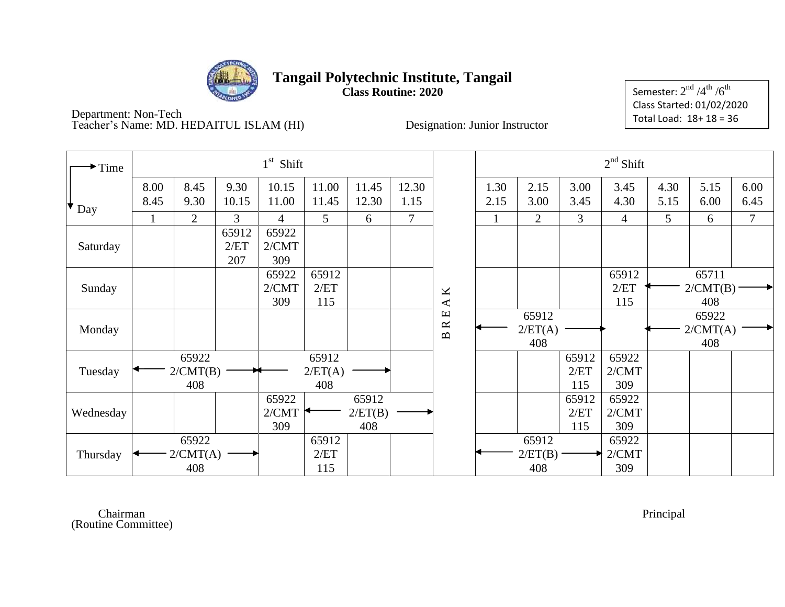

**Class Routine: 2020**

Semester:  $2^{\rm nd}$  /4 $^{\rm th}$  /6 $^{\rm th}$ Class Started: 01/02/2020 Total Load: 18+ 18 = 36

Department: Non-Tech Teacher's Name: MD. HEDAITUL ISLAM (HI) Designation: Junior Instructor

| $\rightarrow$ Time |              |                          |                      | $1st$ Shift           |                         |                         |               |                                                                 |              |                         |                      | $2nd$ Shift           |              |                          |              |
|--------------------|--------------|--------------------------|----------------------|-----------------------|-------------------------|-------------------------|---------------|-----------------------------------------------------------------|--------------|-------------------------|----------------------|-----------------------|--------------|--------------------------|--------------|
| $\star$ Day        | 8.00<br>8.45 | 8.45<br>9.30             | 9.30<br>10.15        | 10.15<br>11.00        | 11.00<br>11.45          | 11.45<br>12.30          | 12.30<br>1.15 |                                                                 | 1.30<br>2.15 | 2.15<br>3.00            | 3.00<br>3.45         | 3.45<br>4.30          | 4.30<br>5.15 | 5.15<br>6.00             | 6.00<br>6.45 |
|                    |              | $\overline{2}$           | 3                    | $\overline{4}$        | 5                       | 6                       | $\tau$        |                                                                 |              | $\overline{2}$          | 3                    | $\overline{4}$        | 5            | 6                        | 7            |
| Saturday           |              |                          | 65912<br>2/ET<br>207 | 65922<br>2/CMT<br>309 |                         |                         |               |                                                                 |              |                         |                      |                       |              |                          |              |
| Sunday             |              |                          |                      | 65922<br>2/CMT<br>309 | 65912<br>2/ET<br>115    |                         |               | $\mathbf A\,\mathbf K$                                          |              |                         |                      | 65912<br>2/ET<br>115  |              | 65711<br>2/CMT(B)<br>408 |              |
| Monday             |              |                          |                      |                       |                         |                         |               | $\Xi$<br>$\approx$<br>$\mathbf{\underline{\underline{\alpha}}}$ |              | 65912<br>2/ET(A)<br>408 |                      |                       |              | 65922<br>2/CMT(A)<br>408 |              |
| Tuesday            |              | 65922<br>2/CMT(B)<br>408 |                      |                       | 65912<br>2/ET(A)<br>408 |                         |               |                                                                 |              |                         | 65912<br>2/ET<br>115 | 65922<br>2/CMT<br>309 |              |                          |              |
| Wednesday          |              |                          |                      | 65922<br>2/CMT<br>309 |                         | 65912<br>2/ET(B)<br>408 |               |                                                                 |              |                         | 65912<br>2/ET<br>115 | 65922<br>2/CMT<br>309 |              |                          |              |
| Thursday           |              | 65922<br>2/CMT(A)<br>408 |                      |                       | 65912<br>2/ET<br>115    |                         |               |                                                                 |              | 65912<br>2/ET(B)<br>408 |                      | 65922<br>2/CMT<br>309 |              |                          |              |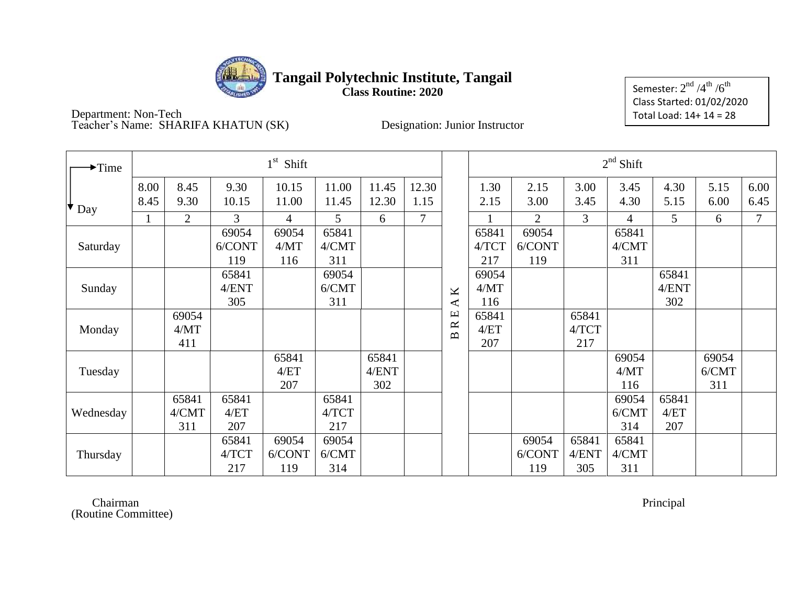

**Class Routine: 2020**

Semester:  $2^{\rm nd}$  /4 $^{\rm th}$  /6 $^{\rm th}$ Class Started: 01/02/2020 Total Load: 14+ 14 = 28

Department: Non-Tech Teacher's Name: SHARIFA KHATUN (SK) Designation: Junior Instructor

| $\rightarrow$ Time     |              |                       |                        | $1st$ Shift            |                       |                       |               |                                                 |                       |                        |                       | $2nd$ Shift           |                       |                       |              |
|------------------------|--------------|-----------------------|------------------------|------------------------|-----------------------|-----------------------|---------------|-------------------------------------------------|-----------------------|------------------------|-----------------------|-----------------------|-----------------------|-----------------------|--------------|
| $\mathbf{\bullet}$ Day | 8.00<br>8.45 | 8.45<br>9.30          | 9.30<br>10.15          | 10.15<br>11.00         | 11.00<br>11.45        | 11.45<br>12.30        | 12.30<br>1.15 |                                                 | 1.30<br>2.15          | 2.15<br>3.00           | 3.00<br>3.45          | 3.45<br>4.30          | 4.30<br>5.15          | 5.15<br>6.00          | 6.00<br>6.45 |
|                        | 1            | $\overline{2}$        | $\overline{3}$         | $\overline{4}$         | 5                     | 6                     | 7             |                                                 |                       | $\overline{2}$         | 3                     | $\overline{4}$        | 5                     | 6                     | $\tau$       |
| Saturday               |              |                       | 69054<br>6/CONT<br>119 | 69054<br>4/MT<br>116   | 65841<br>4/CMT<br>311 |                       |               |                                                 | 65841<br>4/TCT<br>217 | 69054<br>6/CONT<br>119 |                       | 65841<br>4/CMT<br>311 |                       |                       |              |
| Sunday                 |              |                       | 65841<br>4/ENT<br>305  |                        | 69054<br>6/CMT<br>311 |                       |               | К<br>⋖                                          | 69054<br>4/MT<br>116  |                        |                       |                       | 65841<br>4/ENT<br>302 |                       |              |
| Monday                 |              | 69054<br>4/MT<br>411  |                        |                        |                       |                       |               | $\mathbf \Xi$<br>$\approx$<br>$\mathbf{\Omega}$ | 65841<br>4/ET<br>207  |                        | 65841<br>4/TCT<br>217 |                       |                       |                       |              |
| Tuesday                |              |                       |                        | 65841<br>4/ET<br>207   |                       | 65841<br>4/ENT<br>302 |               |                                                 |                       |                        |                       | 69054<br>4/MT<br>116  |                       | 69054<br>6/CMT<br>311 |              |
| Wednesday              |              | 65841<br>4/CMT<br>311 | 65841<br>4/ET<br>207   |                        | 65841<br>4/TCT<br>217 |                       |               |                                                 |                       |                        |                       | 69054<br>6/CMT<br>314 | 65841<br>4/ET<br>207  |                       |              |
| Thursday               |              |                       | 65841<br>4/TCT<br>217  | 69054<br>6/CONT<br>119 | 69054<br>6/CMT<br>314 |                       |               |                                                 |                       | 69054<br>6/CONT<br>119 | 65841<br>4/ENT<br>305 | 65841<br>4/CMT<br>311 |                       |                       |              |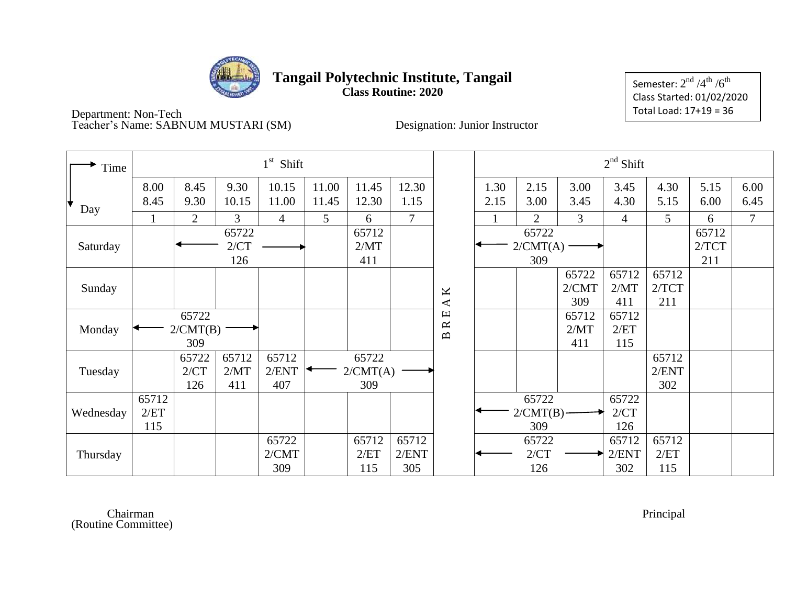

### **Tangail Polytechnic Institute, Tangail Class Routine: 2020**

Semester:  $2^{\rm nd}$  /4 $^{\rm th}$  /6 $^{\rm th}$ Class Started: 01/02/2020 Total Load: 17+19 = 36

Department: Non-Tech Teacher's Name: SABNUM MUSTARI (SM) Designation: Junior Instructor

| Time      |                      |                          |                      | $1st$ Shift           |                |                          |                       |                                                                         |              |                          |                       | $2nd$ Shift           |                       |                       |                |
|-----------|----------------------|--------------------------|----------------------|-----------------------|----------------|--------------------------|-----------------------|-------------------------------------------------------------------------|--------------|--------------------------|-----------------------|-----------------------|-----------------------|-----------------------|----------------|
| ✦<br>Day  | 8.00<br>8.45         | 8.45<br>9.30             | 9.30<br>10.15        | 10.15<br>11.00        | 11.00<br>11.45 | 11.45<br>12.30           | 12.30<br>1.15         |                                                                         | 1.30<br>2.15 | 2.15<br>3.00             | 3.00<br>3.45          | 3.45<br>4.30          | 4.30<br>5.15          | 5.15<br>6.00          | 6.00<br>6.45   |
|           | 1                    | $\overline{2}$           | $\overline{3}$       | $\overline{4}$        | 5              | 6                        | $\overline{7}$        |                                                                         |              | $\overline{2}$           | 3                     | 4                     | $\mathfrak{S}$        | 6                     | $\overline{7}$ |
| Saturday  |                      |                          | 65722<br>2/CT<br>126 |                       |                | 65712<br>2/MT<br>411     |                       |                                                                         |              | 65722<br>2/CMT(A)<br>309 |                       |                       |                       | 65712<br>2/TCT<br>211 |                |
| Sunday    |                      |                          |                      |                       |                |                          |                       | K<br>$\blacktriangleleft$                                               |              |                          | 65722<br>2/CMT<br>309 | 65712<br>2/MT<br>411  | 65712<br>2/TCT<br>211 |                       |                |
| Monday    |                      | 65722<br>2/CMT(B)<br>309 |                      |                       |                |                          |                       | $\mathbf \Xi$<br>$\approx$<br>$\mathbf{\underline{\underline{\alpha}}}$ |              |                          | 65712<br>2/MT<br>411  | 65712<br>2/ET<br>115  |                       |                       |                |
| Tuesday   |                      | 65722<br>2/CT<br>126     | 65712<br>2/MT<br>411 | 65712<br>2/ENT<br>407 |                | 65722<br>2/CMT(A)<br>309 |                       |                                                                         |              |                          |                       |                       | 65712<br>2/ENT<br>302 |                       |                |
| Wednesday | 65712<br>2/ET<br>115 |                          |                      |                       |                |                          |                       |                                                                         |              | 65722<br>2/CMT(B)<br>309 |                       | 65722<br>2/CT<br>126  |                       |                       |                |
| Thursday  |                      |                          |                      | 65722<br>2/CMT<br>309 |                | 65712<br>2/ET<br>115     | 65712<br>2/ENT<br>305 |                                                                         |              | 65722<br>2/CT<br>126     |                       | 65712<br>2/ENT<br>302 | 65712<br>2/ET<br>115  |                       |                |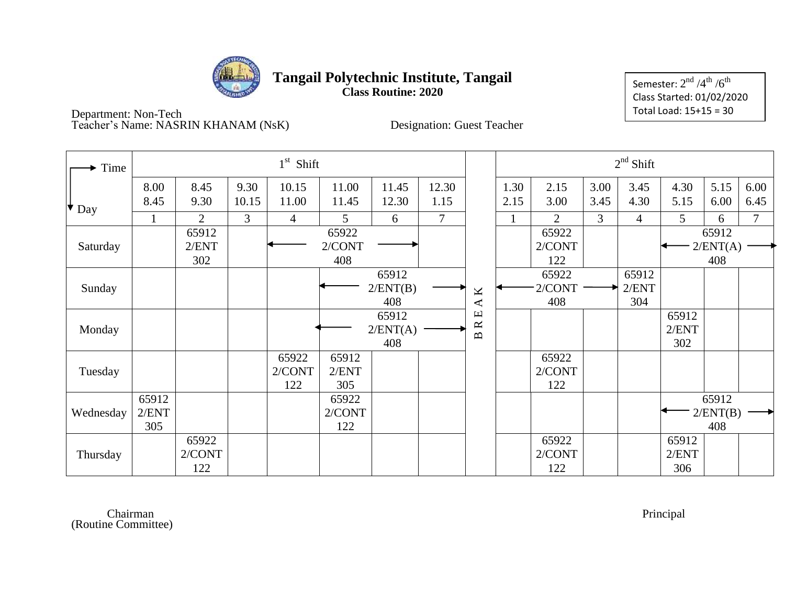

**Class Routine: 2020**

Semester:  $2^{\rm nd}$  /4 $^{\rm th}$  /6 $^{\rm th}$ Class Started: 01/02/2020 Total Load: 15+15 = 30

Department: Non-Tech Teacher's Name: NASRIN KHANAM (NsK) Designation: Guest Teacher

| Time        |              |                |                | $1st$ Shift    |                |                |                |                   |              |                |              | $2nd$ Shift    |              |              |              |
|-------------|--------------|----------------|----------------|----------------|----------------|----------------|----------------|-------------------|--------------|----------------|--------------|----------------|--------------|--------------|--------------|
| $\star$ Day | 8.00<br>8.45 | 8.45<br>9.30   | 9.30<br>10.15  | 10.15<br>11.00 | 11.00<br>11.45 | 11.45<br>12.30 | 12.30<br>1.15  |                   | 1.30<br>2.15 | 2.15<br>3.00   | 3.00<br>3.45 | 3.45<br>4.30   | 4.30<br>5.15 | 5.15<br>6.00 | 6.00<br>6.45 |
|             |              | $\overline{2}$ | $\overline{3}$ | $\overline{4}$ | 5              | 6              | $\overline{7}$ |                   |              | $\overline{2}$ | 3            | $\overline{4}$ | 5            | 6            | $\tau$       |
|             |              | 65912          |                |                | 65922          |                |                |                   |              | 65922          |              |                |              | 65912        |              |
| Saturday    |              | 2/ENT          |                |                | 2/CONT         |                |                |                   |              | 2/CONT         |              |                |              | 2/ENT(A)     |              |
|             |              | 302            |                |                | 408            |                |                |                   |              | 122            |              |                |              | 408          |              |
|             |              |                |                |                |                | 65912          |                |                   |              | 65922          |              | 65912          |              |              |              |
| Sunday      |              |                |                |                |                | 2/ENT(B)       |                | K                 |              | 2/CONT         |              | 2/ENT          |              |              |              |
|             |              |                |                |                |                | 408            |                | ∢                 |              | 408            |              | 304            |              |              |              |
|             |              |                |                |                |                | 65912          |                | Щ<br>$\approx$    |              |                |              |                | 65912        |              |              |
| Monday      |              |                |                |                |                | 2/ENT(A)       |                | $\mathbf{\Omega}$ |              |                |              |                | 2/ENT        |              |              |
|             |              |                |                |                |                | 408            |                |                   |              |                |              |                | 302          |              |              |
|             |              |                |                | 65922          | 65912          |                |                |                   |              | 65922          |              |                |              |              |              |
| Tuesday     |              |                |                | 2/CONT         | 2/ENT          |                |                |                   |              | 2/CONT         |              |                |              |              |              |
|             |              |                |                | 122            | 305            |                |                |                   |              | 122            |              |                |              |              |              |
|             | 65912        |                |                |                | 65922          |                |                |                   |              |                |              |                |              | 65912        |              |
| Wednesday   | 2/ENT        |                |                |                | 2/CONT         |                |                |                   |              |                |              |                |              | 2/ENT(B)     |              |
|             | 305          |                |                |                | 122            |                |                |                   |              |                |              |                |              | 408          |              |
|             |              | 65922          |                |                |                |                |                |                   |              | 65922          |              |                | 65912        |              |              |
| Thursday    |              | 2/CONT         |                |                |                |                |                |                   |              | 2/CONT         |              |                | 2/ENT        |              |              |
|             |              | 122            |                |                |                |                |                |                   |              | 122            |              |                | 306          |              |              |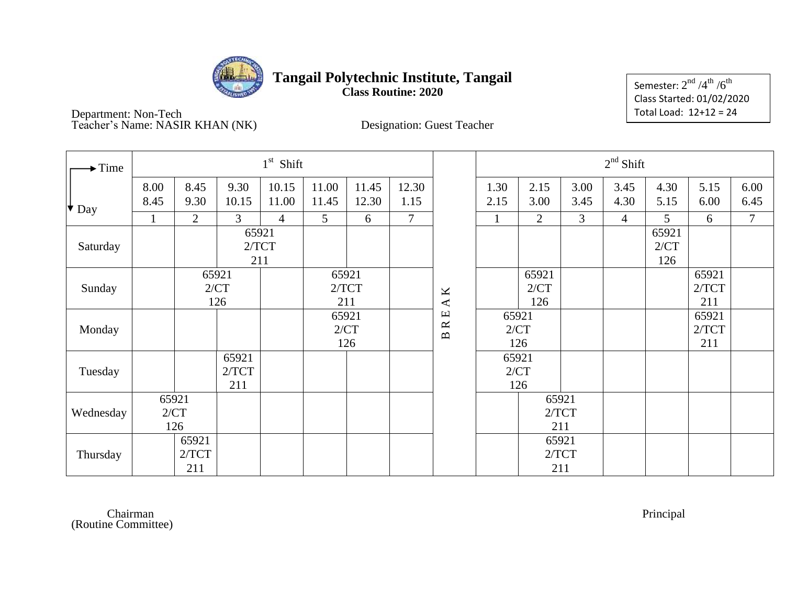

**Class Routine: 2020**

Semester:  $2^{\rm nd}$  /4 $^{\rm th}$  /6 $^{\rm th}$ Class Started: 01/02/2020 Total Load: 12+12 = 24

Department: Non-Tech Teacher's Name: NASIR KHAN (NK) Designation: Guest Teacher

| $\blacktriangleright$ Time |              |                       |                       | $1st$ Shift    |                       |                |                |                                                                         |              |                      |                | $2nd$ Shift    |                      |                       |                |
|----------------------------|--------------|-----------------------|-----------------------|----------------|-----------------------|----------------|----------------|-------------------------------------------------------------------------|--------------|----------------------|----------------|----------------|----------------------|-----------------------|----------------|
| $\big\vert \big\vert$ Day  | 8.00<br>8.45 | 8.45<br>9.30          | 9.30<br>10.15         | 10.15<br>11.00 | 11.00<br>11.45        | 11.45<br>12.30 | 12.30<br>1.15  |                                                                         | 1.30<br>2.15 | 2.15<br>3.00         | 3.00<br>3.45   | 3.45<br>4.30   | 4.30<br>5.15         | 5.15<br>6.00          | 6.00<br>6.45   |
|                            |              | $\overline{2}$        | $\overline{3}$        | $\overline{4}$ | $5\overline{)}$       | 6              | $\overline{7}$ |                                                                         | $\mathbf{1}$ | $\overline{2}$       | $\overline{3}$ | $\overline{4}$ | 5                    | 6                     | $\overline{7}$ |
| Saturday                   |              |                       | 65921<br>2/TCT<br>211 |                |                       |                |                |                                                                         |              |                      |                |                | 65921<br>2/CT<br>126 |                       |                |
| Sunday                     |              |                       | 65921<br>2/CT<br>126  |                | 65921<br>2/TCT<br>211 |                |                | $\pmb{\times}$<br>$\blacktriangle$                                      |              | 65921<br>2/CT<br>126 |                |                |                      | 65921<br>2/TCT<br>211 |                |
| Monday                     |              |                       |                       |                | 65921<br>2/CT         | 126            |                | $\mathbf \Xi$<br>$\approx$<br>$\mathbf{\underline{\underline{\alpha}}}$ | 65921        | 2/CT<br>126          |                |                |                      | 65921<br>2/TCT<br>211 |                |
| Tuesday                    |              |                       | 65921<br>2/TCT<br>211 |                |                       |                |                |                                                                         | 65921        | 2/CT<br>126          |                |                |                      |                       |                |
| Wednesday                  | 65921        | 2/CT<br>126           |                       |                |                       |                |                |                                                                         |              | 65921                | 2/TCT<br>211   |                |                      |                       |                |
| Thursday                   |              | 65921<br>2/TCT<br>211 |                       |                |                       |                |                |                                                                         |              | 65921<br>2/TCT       | 211            |                |                      |                       |                |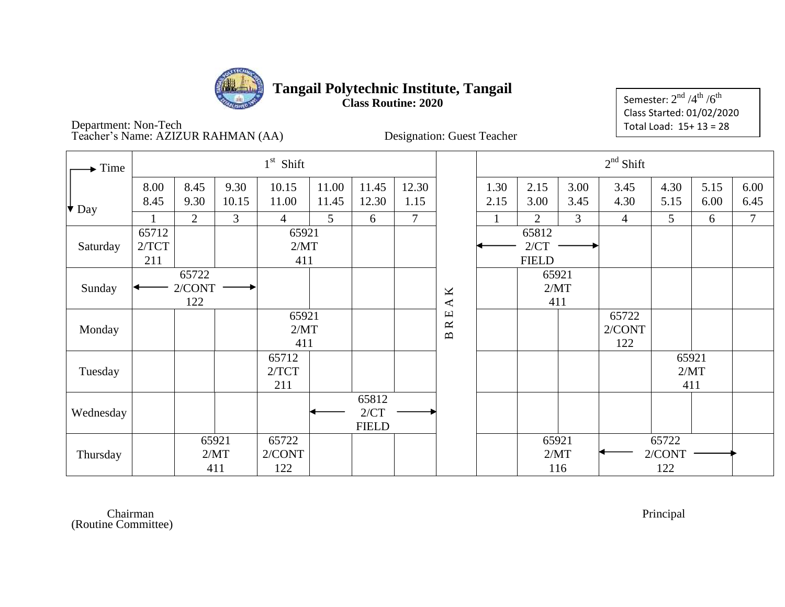

### **Tangail Polytechnic Institute, Tangail Class Routine: 2020**

Semester:  $2^{\rm nd}$  /4 $^{\rm th}$  /6 $^{\rm th}$ Class Started: 01/02/2020 Total Load: 15+ 13 = 28

Department: Non-Tech Teacher's Name: AZIZUR RAHMAN (AA) Designation: Guest Teacher

| Time                      | $1st$ Shift            |                       |                        |                |                |                               |                |                        | $2nd$ Shift            |                               |                        |                |              |              |              |
|---------------------------|------------------------|-----------------------|------------------------|----------------|----------------|-------------------------------|----------------|------------------------|------------------------|-------------------------------|------------------------|----------------|--------------|--------------|--------------|
| $\big\vert \big\vert$ Day | 8.00<br>8.45           | 8.45<br>9.30          | 9.30<br>10.15          | 10.15<br>11.00 | 11.00<br>11.45 | 11.45<br>12.30                | 12.30<br>1.15  |                        | 1.30<br>2.15           | 2.15<br>3.00                  | 3.00<br>3.45           | 3.45<br>4.30   | 4.30<br>5.15 | 5.15<br>6.00 | 6.00<br>6.45 |
|                           |                        | 2                     | 3                      | $\overline{4}$ | 5              | 6                             | $\overline{7}$ |                        |                        | 2                             | 3                      | $\overline{4}$ | 5            | 6            | $\tau$       |
| Saturday                  | 65712<br>2/TCT<br>211  | 65921<br>2/MT<br>411  |                        |                |                |                               |                |                        |                        | 65812<br>2/CT<br><b>FIELD</b> |                        |                |              |              |              |
| Sunday                    | 65722<br>2/CONT<br>122 |                       |                        |                |                |                               |                | $\mathbf A\,\mathbf K$ |                        | 65921<br>2/MT<br>411          |                        |                |              |              |              |
| Monday                    | 65921<br>2/MT<br>411   |                       |                        |                | $\Box$<br>B R  |                               |                |                        | 65722<br>2/CONT<br>122 |                               |                        |                |              |              |              |
| Tuesday                   |                        | 65712<br>2/TCT<br>211 |                        |                |                |                               |                |                        |                        |                               | 65921<br>2/MT<br>411   |                |              |              |              |
| Wednesday                 |                        |                       |                        |                |                | 65812<br>2/CT<br><b>FIELD</b> |                |                        |                        |                               |                        |                |              |              |              |
| Thursday                  | 65921<br>2/MT<br>411   |                       | 65722<br>2/CONT<br>122 |                |                |                               |                |                        | 65921<br>2/MT<br>116   |                               | 65722<br>2/CONT<br>122 |                |              |              |              |